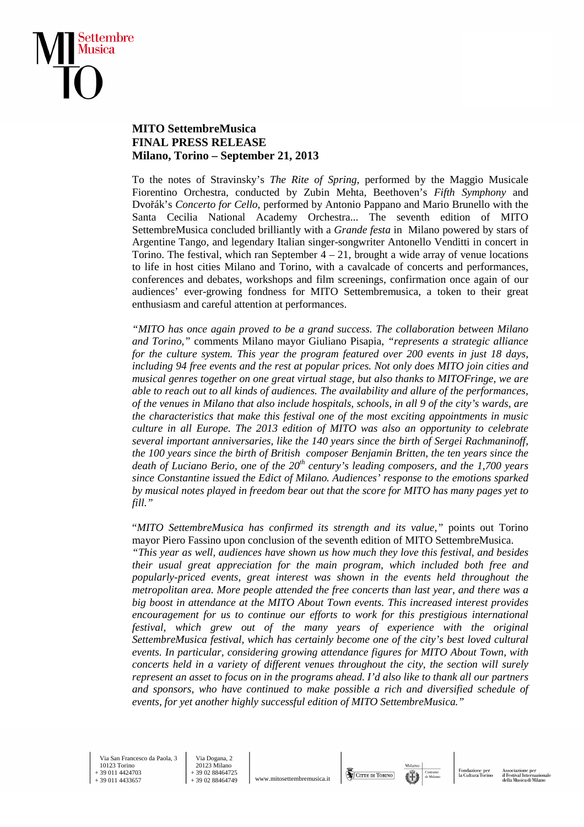

## **MITO SettembreMusica FINAL PRESS RELEASE Milano, Torino – September 21, 2013**

To the notes of Stravinsky's *The Rite of Spring*, performed by the Maggio Musicale Fiorentino Orchestra, conducted by Zubin Mehta, Beethoven's *Fifth Symphony* and Dvořák's *Concerto for Cello*, performed by Antonio Pappano and Mario Brunello with the Santa Cecilia National Academy Orchestra... The seventh edition of MITO SettembreMusica concluded brilliantly with a *Grande festa* in Milano powered by stars of Argentine Tango, and legendary Italian singer-songwriter Antonello Venditti in concert in Torino. The festival, which ran September  $4 - 21$ , brought a wide array of venue locations to life in host cities Milano and Torino, with a cavalcade of concerts and performances, conferences and debates, workshops and film screenings, confirmation once again of our audiences' ever-growing fondness for MITO Settembremusica, a token to their great enthusiasm and careful attention at performances.

*"MITO has once again proved to be a grand success. The collaboration between Milano and Torino,"* comments Milano mayor Giuliano Pisapia, *"represents a strategic alliance for the culture system. This year the program featured over 200 events in just 18 days, including 94 free events and the rest at popular prices. Not only does MITO join cities and musical genres together on one great virtual stage, but also thanks to MITOFringe, we are able to reach out to all kinds of audiences. The availability and allure of the performances, of the venues in Milano that also include hospitals, schools, in all 9 of the city's wards, are the characteristics that make this festival one of the most exciting appointments in music culture in all Europe. The 2013 edition of MITO was also an opportunity to celebrate several important anniversaries, like the 140 years since the birth of Sergei Rachmaninoff, the 100 years since the birth of British composer Benjamin Britten, the ten years since the death of Luciano Berio, one of the 20th century's leading composers, and the 1,700 years since Constantine issued the Edict of Milano. Audiences' response to the emotions sparked by musical notes played in freedom bear out that the score for MITO has many pages yet to fill."* 

"*MITO SettembreMusica has confirmed its strength and its value,"* points out Torino mayor Piero Fassino upon conclusion of the seventh edition of MITO SettembreMusica.

*"This year as well, audiences have shown us how much they love this festival, and besides their usual great appreciation for the main program, which included both free and popularly-priced events, great interest was shown in the events held throughout the metropolitan area. More people attended the free concerts than last year, and there was a big boost in attendance at the MITO About Town events. This increased interest provides encouragement for us to continue our efforts to work for this prestigious international*  festival, which grew out of the many years of experience with the original *SettembreMusica festival, which has certainly become one of the city's best loved cultural events. In particular, considering growing attendance figures for MITO About Town, with concerts held in a variety of different venues throughout the city, the section will surely represent an asset to focus on in the programs ahead. I'd also like to thank all our partners and sponsors, who have continued to make possible a rich and diversified schedule of events, for yet another highly successful edition of MITO SettembreMusica."* 

 Via San Francesco da Paola, 3 10123 Torino + 39 011 4424703 + 39 011 4433657

 Via Dogana, 2 20123 Milano + 39 02 88464725<br>+ 39 02 88464749

www.mitosettembremusica.it

CITTA DI TORINO

Fondazione<br>la Cultura T

Associazione per<br>il Festival Interna<br>della Musica di M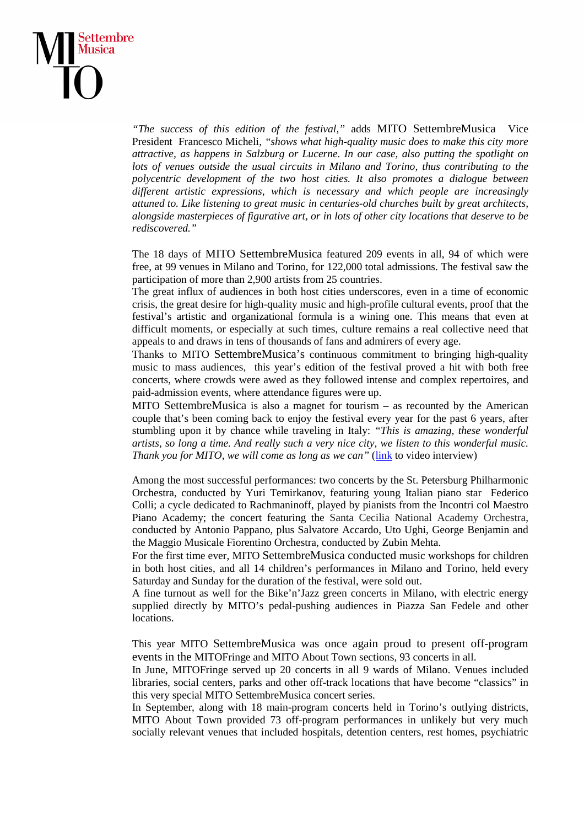

*"The success of this edition of the festival,"* adds MITO SettembreMusica Vice President Francesco Micheli, *"shows what high-quality music does to make this city more attractive, as happens in Salzburg or Lucerne. In our case, also putting the spotlight on lots of venues outside the usual circuits in Milano and Torino, thus contributing to the polycentric development of the two host cities. It also promotes a dialogue between different artistic expressions, which is necessary and which people are increasingly attuned to. Like listening to great music in centuries-old churches built by great architects, alongside masterpieces of figurative art, or in lots of other city locations that deserve to be rediscovered."* 

The 18 days of MITO SettembreMusica featured 209 events in all, 94 of which were free, at 99 venues in Milano and Torino, for 122,000 total admissions. The festival saw the participation of more than 2,900 artists from 25 countries.

The great influx of audiences in both host cities underscores, even in a time of economic crisis, the great desire for high-quality music and high-profile cultural events, proof that the festival's artistic and organizational formula is a wining one. This means that even at difficult moments, or especially at such times, culture remains a real collective need that appeals to and draws in tens of thousands of fans and admirers of every age.

Thanks to MITO SettembreMusica's continuous commitment to bringing high-quality music to mass audiences, this year's edition of the festival proved a hit with both free concerts, where crowds were awed as they followed intense and complex repertoires, and paid-admission events, where attendance figures were up.

MITO SettembreMusica is also a magnet for tourism – as recounted by the American couple that's been coming back to enjoy the festival every year for the past 6 years, after stumbling upon it by chance while traveling in Italy: *"This is amazing, these wonderful artists, so long a time. And really such a very nice city, we listen to this wonderful music. Thank you for MITO, we will come as long as we can"* (*link* to video interview)

Among the most successful performances: two concerts by the St. Petersburg Philharmonic Orchestra, conducted by Yuri Temirkanov, featuring young Italian piano star Federico Colli; a cycle dedicated to Rachmaninoff, played by pianists from the Incontri col Maestro Piano Academy; the concert featuring the Santa Cecilia National Academy Orchestra, conducted by Antonio Pappano, plus Salvatore Accardo, Uto Ughi, George Benjamin and the Maggio Musicale Fiorentino Orchestra, conducted by Zubin Mehta.

For the first time ever, MITO SettembreMusica conducted music workshops for children in both host cities, and all 14 children's performances in Milano and Torino, held every Saturday and Sunday for the duration of the festival, were sold out.

A fine turnout as well for the Bike'n'Jazz green concerts in Milano, with electric energy supplied directly by MITO's pedal-pushing audiences in Piazza San Fedele and other locations.

This year MITO SettembreMusica was once again proud to present off-program events in the MITOFringe and MITO About Town sections, 93 concerts in all.

In June, MITOFringe served up 20 concerts in all 9 wards of Milano. Venues included libraries, social centers, parks and other off-track locations that have become "classics" in this very special MITO SettembreMusica concert series.

In September, along with 18 main-program concerts held in Torino's outlying districts, MITO About Town provided 73 off-program performances in unlikely but very much socially relevant venues that included hospitals, detention centers, rest homes, psychiatric